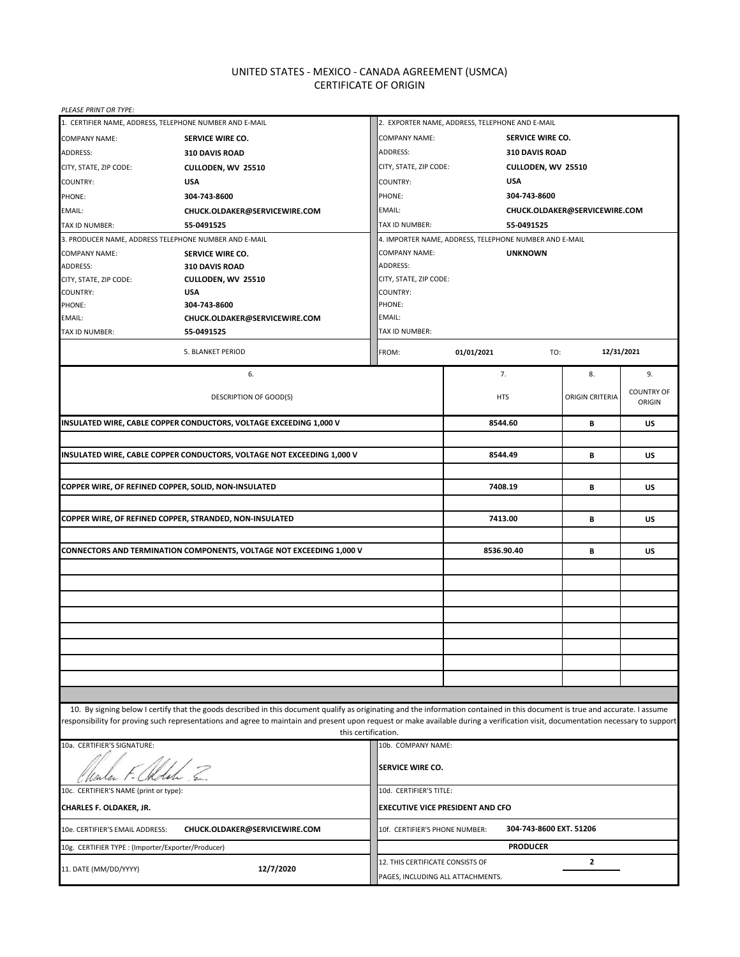# UNITED STATES - MEXICO - CANADA AGREEMENT (USMCA) CERTIFICATE OF ORIGIN

| PLEASE PRINT OR TYPE:                                                |                                                                                                                                                                                                                                                                                                                                                                                         |                                                           |                    |                        |                             |  |  |
|----------------------------------------------------------------------|-----------------------------------------------------------------------------------------------------------------------------------------------------------------------------------------------------------------------------------------------------------------------------------------------------------------------------------------------------------------------------------------|-----------------------------------------------------------|--------------------|------------------------|-----------------------------|--|--|
| 1. CERTIFIER NAME, ADDRESS, TELEPHONE NUMBER AND E-MAIL              |                                                                                                                                                                                                                                                                                                                                                                                         | 2. EXPORTER NAME, ADDRESS, TELEPHONE AND E-MAIL           |                    |                        |                             |  |  |
| <b>COMPANY NAME:</b>                                                 | SERVICE WIRE CO.                                                                                                                                                                                                                                                                                                                                                                        | <b>COMPANY NAME:</b>                                      |                    | SERVICE WIRE CO.       |                             |  |  |
| ADDRESS:                                                             | 310 DAVIS ROAD                                                                                                                                                                                                                                                                                                                                                                          | ADDRESS:<br>310 DAVIS ROAD                                |                    |                        |                             |  |  |
| CITY, STATE, ZIP CODE:                                               | CULLODEN, WV 25510                                                                                                                                                                                                                                                                                                                                                                      | CITY, STATE, ZIP CODE:                                    | CULLODEN, WV 25510 |                        |                             |  |  |
| COUNTRY:                                                             | <b>USA</b>                                                                                                                                                                                                                                                                                                                                                                              | <b>USA</b><br><b>COUNTRY:</b>                             |                    |                        |                             |  |  |
| PHONE:                                                               | 304-743-8600                                                                                                                                                                                                                                                                                                                                                                            | PHONE:<br>304-743-8600                                    |                    |                        |                             |  |  |
| EMAIL:                                                               | CHUCK.OLDAKER@SERVICEWIRE.COM                                                                                                                                                                                                                                                                                                                                                           | EMAIL:<br>CHUCK.OLDAKER@SERVICEWIRE.COM                   |                    |                        |                             |  |  |
| TAX ID NUMBER:                                                       | 55-0491525                                                                                                                                                                                                                                                                                                                                                                              | TAX ID NUMBER:                                            | 55-0491525         |                        |                             |  |  |
| 3. PRODUCER NAME, ADDRESS TELEPHONE NUMBER AND E-MAIL                |                                                                                                                                                                                                                                                                                                                                                                                         | 4. IMPORTER NAME, ADDRESS, TELEPHONE NUMBER AND E-MAIL    |                    |                        |                             |  |  |
| <b>COMPANY NAME:</b>                                                 | <b>SERVICE WIRE CO.</b>                                                                                                                                                                                                                                                                                                                                                                 | <b>COMPANY NAME:</b><br><b>UNKNOWN</b>                    |                    |                        |                             |  |  |
| <b>ADDRESS:</b>                                                      | 310 DAVIS ROAD                                                                                                                                                                                                                                                                                                                                                                          | ADDRESS:                                                  |                    |                        |                             |  |  |
| CITY, STATE, ZIP CODE:                                               | CULLODEN, WV 25510                                                                                                                                                                                                                                                                                                                                                                      | CITY, STATE, ZIP CODE:                                    |                    |                        |                             |  |  |
| COUNTRY:                                                             | <b>USA</b>                                                                                                                                                                                                                                                                                                                                                                              | COUNTRY:                                                  |                    |                        |                             |  |  |
| PHONE:                                                               | 304-743-8600                                                                                                                                                                                                                                                                                                                                                                            | PHONE:                                                    |                    |                        |                             |  |  |
| EMAIL:                                                               | CHUCK.OLDAKER@SERVICEWIRE.COM                                                                                                                                                                                                                                                                                                                                                           | EMAIL:                                                    |                    |                        |                             |  |  |
| TAX ID NUMBER:                                                       | 55-0491525                                                                                                                                                                                                                                                                                                                                                                              | TAX ID NUMBER:                                            |                    |                        |                             |  |  |
|                                                                      | 5. BLANKET PERIOD                                                                                                                                                                                                                                                                                                                                                                       | FROM:                                                     | 01/01/2021<br>TO:  |                        | 12/31/2021                  |  |  |
|                                                                      | 6.                                                                                                                                                                                                                                                                                                                                                                                      |                                                           | 7.                 | 8.                     | 9.                          |  |  |
|                                                                      | DESCRIPTION OF GOOD(S)                                                                                                                                                                                                                                                                                                                                                                  |                                                           | <b>HTS</b>         | <b>ORIGIN CRITERIA</b> | <b>COUNTRY OF</b><br>ORIGIN |  |  |
|                                                                      | INSULATED WIRE, CABLE COPPER CONDUCTORS, VOLTAGE EXCEEDING 1,000 V                                                                                                                                                                                                                                                                                                                      |                                                           | 8544.60            | В                      | US                          |  |  |
|                                                                      |                                                                                                                                                                                                                                                                                                                                                                                         |                                                           |                    |                        |                             |  |  |
|                                                                      | INSULATED WIRE, CABLE COPPER CONDUCTORS, VOLTAGE NOT EXCEEDING 1,000 V                                                                                                                                                                                                                                                                                                                  |                                                           | 8544.49            | В                      | US                          |  |  |
|                                                                      |                                                                                                                                                                                                                                                                                                                                                                                         |                                                           |                    |                        |                             |  |  |
| COPPER WIRE, OF REFINED COPPER, SOLID, NON-INSULATED                 |                                                                                                                                                                                                                                                                                                                                                                                         |                                                           | 7408.19            | В                      | <b>US</b>                   |  |  |
|                                                                      |                                                                                                                                                                                                                                                                                                                                                                                         |                                                           |                    |                        |                             |  |  |
|                                                                      | COPPER WIRE, OF REFINED COPPER, STRANDED, NON-INSULATED                                                                                                                                                                                                                                                                                                                                 |                                                           | 7413.00            | В                      | US                          |  |  |
| CONNECTORS AND TERMINATION COMPONENTS, VOLTAGE NOT EXCEEDING 1,000 V |                                                                                                                                                                                                                                                                                                                                                                                         |                                                           | 8536.90.40         | В                      | US                          |  |  |
|                                                                      |                                                                                                                                                                                                                                                                                                                                                                                         |                                                           |                    |                        |                             |  |  |
|                                                                      |                                                                                                                                                                                                                                                                                                                                                                                         |                                                           |                    |                        |                             |  |  |
|                                                                      |                                                                                                                                                                                                                                                                                                                                                                                         |                                                           |                    |                        |                             |  |  |
|                                                                      |                                                                                                                                                                                                                                                                                                                                                                                         |                                                           |                    |                        |                             |  |  |
|                                                                      |                                                                                                                                                                                                                                                                                                                                                                                         |                                                           |                    |                        |                             |  |  |
|                                                                      |                                                                                                                                                                                                                                                                                                                                                                                         |                                                           |                    |                        |                             |  |  |
|                                                                      |                                                                                                                                                                                                                                                                                                                                                                                         |                                                           |                    |                        |                             |  |  |
|                                                                      |                                                                                                                                                                                                                                                                                                                                                                                         |                                                           |                    |                        |                             |  |  |
|                                                                      |                                                                                                                                                                                                                                                                                                                                                                                         |                                                           |                    |                        |                             |  |  |
|                                                                      |                                                                                                                                                                                                                                                                                                                                                                                         |                                                           |                    |                        |                             |  |  |
|                                                                      |                                                                                                                                                                                                                                                                                                                                                                                         |                                                           |                    |                        |                             |  |  |
|                                                                      | 10. By signing below I certify that the goods described in this document qualify as originating and the information contained in this document is true and accurate. I assume<br>esponsibility for proving such representations and agree to maintain and present upon request or make available during a verification visit, documentation necessary to support<br>this certification. |                                                           |                    |                        |                             |  |  |
| 10a. CERTIFIER'S SIGNATURE:                                          |                                                                                                                                                                                                                                                                                                                                                                                         | 10b. COMPANY NAME:                                        |                    |                        |                             |  |  |
|                                                                      |                                                                                                                                                                                                                                                                                                                                                                                         | SERVICE WIRE CO.                                          |                    |                        |                             |  |  |
| 10c. CERTIFIER'S NAME (print or type):<br>10d. CERTIFIER'S TITLE:    |                                                                                                                                                                                                                                                                                                                                                                                         |                                                           |                    |                        |                             |  |  |
| CHARLES F. OLDAKER, JR.                                              |                                                                                                                                                                                                                                                                                                                                                                                         | <b>EXECUTIVE VICE PRESIDENT AND CFO</b>                   |                    |                        |                             |  |  |
| 10e. CERTIFIER'S EMAIL ADDRESS:                                      | CHUCK.OLDAKER@SERVICEWIRE.COM                                                                                                                                                                                                                                                                                                                                                           | 304-743-8600 EXT. 51206<br>10f. CERTIFIER'S PHONE NUMBER: |                    |                        |                             |  |  |
| 10g. CERTIFIER TYPE : (Importer/Exporter/Producer)                   |                                                                                                                                                                                                                                                                                                                                                                                         | <b>PRODUCER</b>                                           |                    |                        |                             |  |  |
| 12/7/2020<br>11. DATE (MM/DD/YYYY)                                   |                                                                                                                                                                                                                                                                                                                                                                                         | 12. THIS CERTIFICATE CONSISTS OF<br>2                     |                    |                        |                             |  |  |
|                                                                      |                                                                                                                                                                                                                                                                                                                                                                                         | PAGES, INCLUDING ALL ATTACHMENTS.                         |                    |                        |                             |  |  |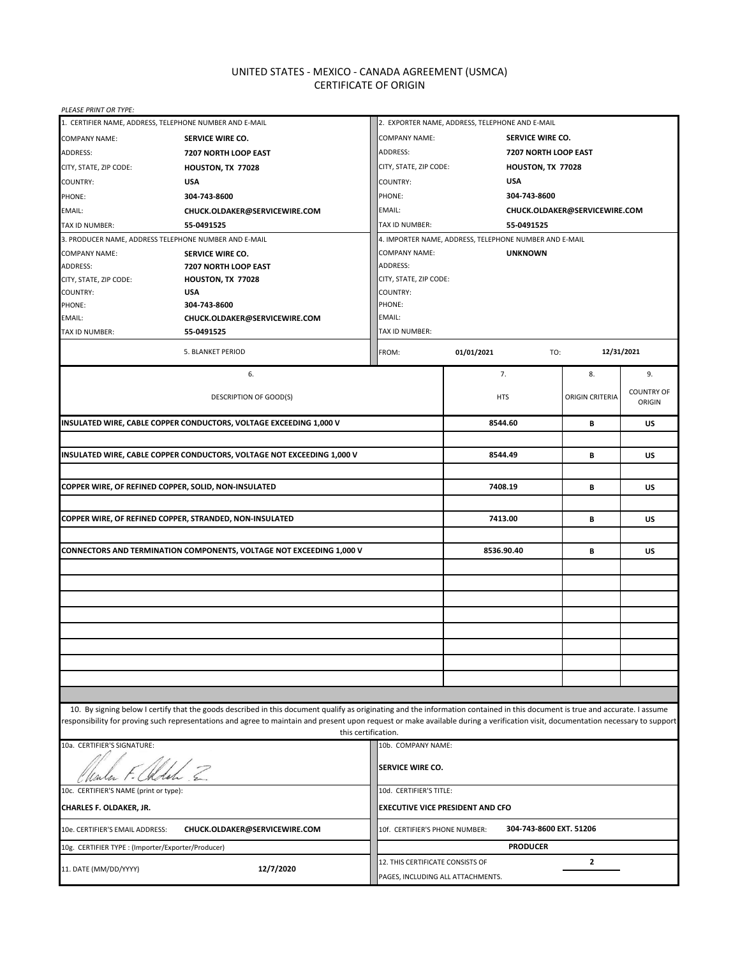# UNITED STATES - MEXICO - CANADA AGREEMENT (USMCA) CERTIFICATE OF ORIGIN

| PLEASE PRINT OR TYPE:                              |                                                                                                                                                                                                                                                                                                                                                                                         |                                                 |                                                                            |                               |                                    |  |
|----------------------------------------------------|-----------------------------------------------------------------------------------------------------------------------------------------------------------------------------------------------------------------------------------------------------------------------------------------------------------------------------------------------------------------------------------------|-------------------------------------------------|----------------------------------------------------------------------------|-------------------------------|------------------------------------|--|
|                                                    | 1. CERTIFIER NAME, ADDRESS, TELEPHONE NUMBER AND E-MAIL                                                                                                                                                                                                                                                                                                                                 | 2. EXPORTER NAME, ADDRESS, TELEPHONE AND E-MAIL |                                                                            |                               |                                    |  |
| <b>COMPANY NAME:</b>                               | SERVICE WIRE CO.                                                                                                                                                                                                                                                                                                                                                                        | <b>COMPANY NAME:</b>                            |                                                                            | SERVICE WIRE CO.              |                                    |  |
| ADDRESS:                                           | 7207 NORTH LOOP EAST                                                                                                                                                                                                                                                                                                                                                                    | ADDRESS:                                        | 7207 NORTH LOOP EAST                                                       |                               |                                    |  |
| CITY, STATE, ZIP CODE:                             | HOUSTON, TX 77028                                                                                                                                                                                                                                                                                                                                                                       | CITY, STATE, ZIP CODE:<br>HOUSTON, TX 77028     |                                                                            |                               |                                    |  |
| COUNTRY:                                           | <b>USA</b>                                                                                                                                                                                                                                                                                                                                                                              | <b>USA</b><br>COUNTRY:                          |                                                                            |                               |                                    |  |
| PHONE:                                             | 304-743-8600                                                                                                                                                                                                                                                                                                                                                                            | PHONE:                                          | 304-743-8600                                                               |                               |                                    |  |
| EMAIL:                                             | CHUCK.OLDAKER@SERVICEWIRE.COM                                                                                                                                                                                                                                                                                                                                                           | EMAIL:                                          |                                                                            | CHUCK.OLDAKER@SERVICEWIRE.COM |                                    |  |
| TAX ID NUMBER:                                     | 55-0491525                                                                                                                                                                                                                                                                                                                                                                              | TAX ID NUMBER:                                  | 55-0491525                                                                 |                               |                                    |  |
|                                                    | 3. PRODUCER NAME, ADDRESS TELEPHONE NUMBER AND E-MAIL                                                                                                                                                                                                                                                                                                                                   |                                                 | 4. IMPORTER NAME, ADDRESS, TELEPHONE NUMBER AND E-MAIL                     |                               |                                    |  |
| <b>COMPANY NAME:</b>                               | SERVICE WIRE CO.                                                                                                                                                                                                                                                                                                                                                                        | <b>COMPANY NAME:</b>                            | <b>UNKNOWN</b>                                                             |                               |                                    |  |
| ADDRESS:                                           | 7207 NORTH LOOP EAST                                                                                                                                                                                                                                                                                                                                                                    | ADDRESS:                                        |                                                                            |                               |                                    |  |
| CITY, STATE, ZIP CODE:                             | HOUSTON, TX 77028                                                                                                                                                                                                                                                                                                                                                                       | CITY, STATE, ZIP CODE:                          |                                                                            |                               |                                    |  |
| COUNTRY:                                           | <b>USA</b>                                                                                                                                                                                                                                                                                                                                                                              | COUNTRY:                                        |                                                                            |                               |                                    |  |
| PHONE:                                             | 304-743-8600                                                                                                                                                                                                                                                                                                                                                                            | PHONE:                                          |                                                                            |                               |                                    |  |
| EMAIL:                                             | CHUCK.OLDAKER@SERVICEWIRE.COM                                                                                                                                                                                                                                                                                                                                                           | EMAIL:                                          |                                                                            |                               |                                    |  |
| TAX ID NUMBER:                                     | 55-0491525                                                                                                                                                                                                                                                                                                                                                                              | TAX ID NUMBER:                                  |                                                                            |                               |                                    |  |
|                                                    | 5. BLANKET PERIOD                                                                                                                                                                                                                                                                                                                                                                       | FROM:                                           | 01/01/2021<br>TO:                                                          |                               | 12/31/2021                         |  |
|                                                    | 6.                                                                                                                                                                                                                                                                                                                                                                                      |                                                 | 7.                                                                         | 8.                            | 9.                                 |  |
|                                                    | <b>DESCRIPTION OF GOOD(S)</b>                                                                                                                                                                                                                                                                                                                                                           |                                                 | <b>HTS</b>                                                                 | <b>ORIGIN CRITERIA</b>        | <b>COUNTRY OF</b><br><b>ORIGIN</b> |  |
|                                                    | INSULATED WIRE, CABLE COPPER CONDUCTORS, VOLTAGE EXCEEDING 1,000 V                                                                                                                                                                                                                                                                                                                      |                                                 | 8544.60                                                                    | В                             | US                                 |  |
|                                                    |                                                                                                                                                                                                                                                                                                                                                                                         |                                                 |                                                                            |                               |                                    |  |
|                                                    | INSULATED WIRE, CABLE COPPER CONDUCTORS, VOLTAGE NOT EXCEEDING 1,000 V                                                                                                                                                                                                                                                                                                                  |                                                 | 8544.49                                                                    | В                             | US                                 |  |
|                                                    |                                                                                                                                                                                                                                                                                                                                                                                         |                                                 |                                                                            |                               |                                    |  |
|                                                    | COPPER WIRE, OF REFINED COPPER, SOLID, NON-INSULATED                                                                                                                                                                                                                                                                                                                                    |                                                 | 7408.19                                                                    | В                             | <b>US</b>                          |  |
|                                                    |                                                                                                                                                                                                                                                                                                                                                                                         |                                                 |                                                                            |                               |                                    |  |
|                                                    | COPPER WIRE, OF REFINED COPPER, STRANDED, NON-INSULATED                                                                                                                                                                                                                                                                                                                                 |                                                 | 7413.00                                                                    | В                             | US                                 |  |
|                                                    | <b>CONNECTORS AND TERMINATION COMPONENTS, VOLTAGE NOT EXCEEDING 1,000 V</b>                                                                                                                                                                                                                                                                                                             |                                                 | 8536.90.40                                                                 | В                             | US                                 |  |
|                                                    |                                                                                                                                                                                                                                                                                                                                                                                         |                                                 |                                                                            |                               |                                    |  |
|                                                    |                                                                                                                                                                                                                                                                                                                                                                                         |                                                 |                                                                            |                               |                                    |  |
|                                                    |                                                                                                                                                                                                                                                                                                                                                                                         |                                                 |                                                                            |                               |                                    |  |
|                                                    |                                                                                                                                                                                                                                                                                                                                                                                         |                                                 |                                                                            |                               |                                    |  |
|                                                    |                                                                                                                                                                                                                                                                                                                                                                                         |                                                 |                                                                            |                               |                                    |  |
|                                                    |                                                                                                                                                                                                                                                                                                                                                                                         |                                                 |                                                                            |                               |                                    |  |
|                                                    |                                                                                                                                                                                                                                                                                                                                                                                         |                                                 |                                                                            |                               |                                    |  |
|                                                    |                                                                                                                                                                                                                                                                                                                                                                                         |                                                 |                                                                            |                               |                                    |  |
|                                                    |                                                                                                                                                                                                                                                                                                                                                                                         |                                                 |                                                                            |                               |                                    |  |
|                                                    |                                                                                                                                                                                                                                                                                                                                                                                         |                                                 |                                                                            |                               |                                    |  |
|                                                    |                                                                                                                                                                                                                                                                                                                                                                                         |                                                 |                                                                            |                               |                                    |  |
|                                                    | 10. By signing below I certify that the goods described in this document qualify as originating and the information contained in this document is true and accurate. I assume<br>esponsibility for proving such representations and agree to maintain and present upon request or make available during a verification visit, documentation necessary to support<br>this certification. |                                                 |                                                                            |                               |                                    |  |
| 10a. CERTIFIER'S SIGNATURE:                        |                                                                                                                                                                                                                                                                                                                                                                                         | 10b. COMPANY NAME:                              |                                                                            |                               |                                    |  |
|                                                    | <b>SERVICE WIRE CO.</b>                                                                                                                                                                                                                                                                                                                                                                 |                                                 |                                                                            |                               |                                    |  |
| 10c. CERTIFIER'S NAME (print or type):             |                                                                                                                                                                                                                                                                                                                                                                                         | 10d. CERTIFIER'S TITLE:                         |                                                                            |                               |                                    |  |
| CHARLES F. OLDAKER, JR.                            |                                                                                                                                                                                                                                                                                                                                                                                         | <b>EXECUTIVE VICE PRESIDENT AND CFO</b>         |                                                                            |                               |                                    |  |
| 10e. CERTIFIER'S EMAIL ADDRESS:                    | 304-743-8600 EXT. 51206<br>CHUCK.OLDAKER@SERVICEWIRE.COM<br>10f. CERTIFIER'S PHONE NUMBER:                                                                                                                                                                                                                                                                                              |                                                 |                                                                            |                               |                                    |  |
| 10g. CERTIFIER TYPE : (Importer/Exporter/Producer) |                                                                                                                                                                                                                                                                                                                                                                                         |                                                 | <b>PRODUCER</b>                                                            |                               |                                    |  |
| 12/7/2020<br>11. DATE (MM/DD/YYYY)                 |                                                                                                                                                                                                                                                                                                                                                                                         |                                                 | 12. THIS CERTIFICATE CONSISTS OF<br>2<br>PAGES, INCLUDING ALL ATTACHMENTS. |                               |                                    |  |
|                                                    |                                                                                                                                                                                                                                                                                                                                                                                         |                                                 |                                                                            |                               |                                    |  |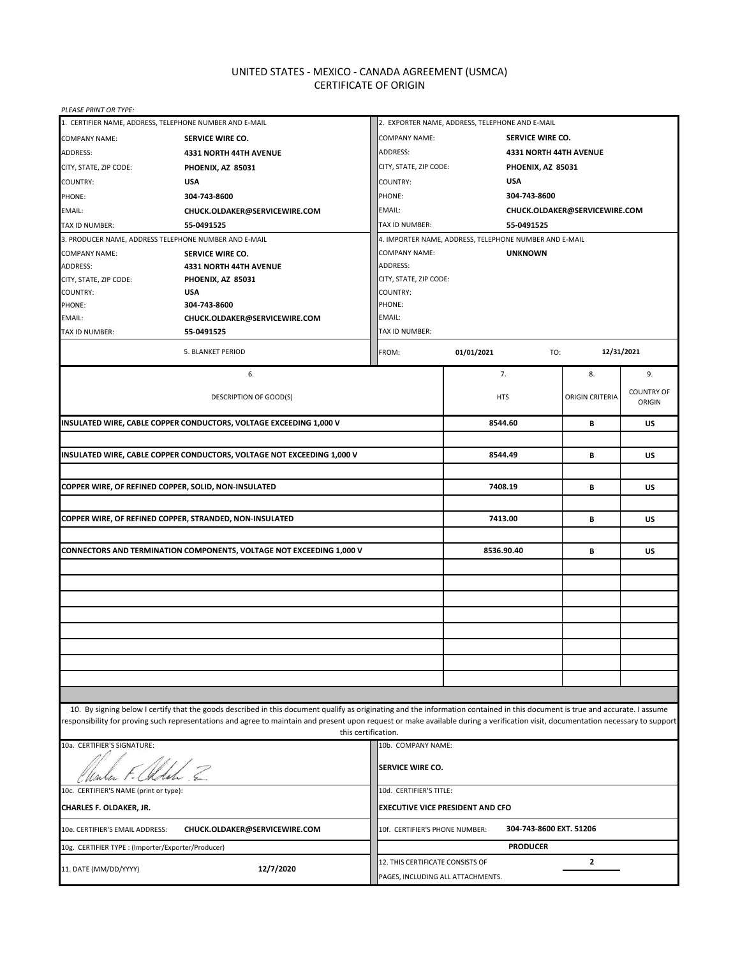# UNITED STATES - MEXICO - CANADA AGREEMENT (USMCA) CERTIFICATE OF ORIGIN

| PLEASE PRINT OR TYPE:                                             |                                                                                                                                                                                                                                                                                                                                                                  |                                                                            |                                                           |                         |                               |                   |
|-------------------------------------------------------------------|------------------------------------------------------------------------------------------------------------------------------------------------------------------------------------------------------------------------------------------------------------------------------------------------------------------------------------------------------------------|----------------------------------------------------------------------------|-----------------------------------------------------------|-------------------------|-------------------------------|-------------------|
|                                                                   | 1. CERTIFIER NAME, ADDRESS, TELEPHONE NUMBER AND E-MAIL                                                                                                                                                                                                                                                                                                          | 2. EXPORTER NAME, ADDRESS, TELEPHONE AND E-MAIL                            |                                                           |                         |                               |                   |
| <b>COMPANY NAME:</b>                                              | SERVICE WIRE CO.                                                                                                                                                                                                                                                                                                                                                 | <b>COMPANY NAME:</b>                                                       |                                                           | <b>SERVICE WIRE CO.</b> |                               |                   |
| ADDRESS:                                                          | 4331 NORTH 44TH AVENUE                                                                                                                                                                                                                                                                                                                                           | ADDRESS:                                                                   |                                                           |                         | <b>4331 NORTH 44TH AVENUE</b> |                   |
| CITY, STATE, ZIP CODE:                                            | PHOENIX, AZ 85031                                                                                                                                                                                                                                                                                                                                                | CITY, STATE, ZIP CODE:<br>PHOENIX, AZ 85031                                |                                                           |                         |                               |                   |
| COUNTRY:                                                          | <b>USA</b>                                                                                                                                                                                                                                                                                                                                                       | <b>USA</b><br><b>COUNTRY:</b>                                              |                                                           |                         |                               |                   |
| PHONE:                                                            | 304-743-8600                                                                                                                                                                                                                                                                                                                                                     | PHONE:                                                                     |                                                           | 304-743-8600            |                               |                   |
| EMAIL:                                                            | CHUCK.OLDAKER@SERVICEWIRE.COM                                                                                                                                                                                                                                                                                                                                    | EMAIL:                                                                     |                                                           |                         | CHUCK.OLDAKER@SERVICEWIRE.COM |                   |
| TAX ID NUMBER:                                                    | 55-0491525                                                                                                                                                                                                                                                                                                                                                       | TAX ID NUMBER:                                                             | 55-0491525                                                |                         |                               |                   |
|                                                                   | 3. PRODUCER NAME, ADDRESS TELEPHONE NUMBER AND E-MAIL                                                                                                                                                                                                                                                                                                            | 4. IMPORTER NAME, ADDRESS, TELEPHONE NUMBER AND E-MAIL                     |                                                           |                         |                               |                   |
| <b>COMPANY NAME:</b>                                              | SERVICE WIRE CO.                                                                                                                                                                                                                                                                                                                                                 | <b>COMPANY NAME:</b>                                                       |                                                           | <b>UNKNOWN</b>          |                               |                   |
| <b>ADDRESS:</b>                                                   | <b>4331 NORTH 44TH AVENUE</b>                                                                                                                                                                                                                                                                                                                                    | ADDRESS:                                                                   |                                                           |                         |                               |                   |
| CITY, STATE, ZIP CODE:                                            | PHOENIX, AZ 85031                                                                                                                                                                                                                                                                                                                                                | CITY, STATE, ZIP CODE:                                                     |                                                           |                         |                               |                   |
| COUNTRY:                                                          | <b>USA</b>                                                                                                                                                                                                                                                                                                                                                       | COUNTRY:                                                                   |                                                           |                         |                               |                   |
| PHONE:                                                            | 304-743-8600                                                                                                                                                                                                                                                                                                                                                     | PHONE:                                                                     |                                                           |                         |                               |                   |
| EMAIL:                                                            | CHUCK.OLDAKER@SERVICEWIRE.COM                                                                                                                                                                                                                                                                                                                                    | EMAIL:                                                                     |                                                           |                         |                               |                   |
| TAX ID NUMBER:                                                    | 55-0491525                                                                                                                                                                                                                                                                                                                                                       | TAX ID NUMBER:                                                             |                                                           |                         |                               |                   |
|                                                                   | 5. BLANKET PERIOD                                                                                                                                                                                                                                                                                                                                                | FROM:                                                                      | 01/01/2021                                                | TO:                     |                               | 12/31/2021        |
|                                                                   | 6.                                                                                                                                                                                                                                                                                                                                                               |                                                                            | 7.                                                        |                         | 8.                            | 9.                |
|                                                                   |                                                                                                                                                                                                                                                                                                                                                                  |                                                                            |                                                           |                         |                               | <b>COUNTRY OF</b> |
|                                                                   | <b>DESCRIPTION OF GOOD(S)</b>                                                                                                                                                                                                                                                                                                                                    |                                                                            | <b>HTS</b>                                                |                         | <b>ORIGIN CRITERIA</b>        | ORIGIN            |
|                                                                   | INSULATED WIRE, CABLE COPPER CONDUCTORS, VOLTAGE EXCEEDING 1,000 V                                                                                                                                                                                                                                                                                               |                                                                            | 8544.60                                                   |                         | В                             | US                |
|                                                                   |                                                                                                                                                                                                                                                                                                                                                                  |                                                                            |                                                           |                         |                               |                   |
|                                                                   | INSULATED WIRE, CABLE COPPER CONDUCTORS, VOLTAGE NOT EXCEEDING 1,000 V                                                                                                                                                                                                                                                                                           |                                                                            | 8544.49                                                   |                         | В                             | US                |
|                                                                   |                                                                                                                                                                                                                                                                                                                                                                  |                                                                            |                                                           |                         |                               |                   |
|                                                                   | COPPER WIRE, OF REFINED COPPER, SOLID, NON-INSULATED                                                                                                                                                                                                                                                                                                             |                                                                            | 7408.19                                                   |                         | В                             | <b>US</b>         |
|                                                                   | COPPER WIRE, OF REFINED COPPER, STRANDED, NON-INSULATED                                                                                                                                                                                                                                                                                                          |                                                                            | 7413.00                                                   |                         |                               | US                |
|                                                                   |                                                                                                                                                                                                                                                                                                                                                                  |                                                                            |                                                           |                         | В                             |                   |
|                                                                   | <b>CONNECTORS AND TERMINATION COMPONENTS, VOLTAGE NOT EXCEEDING 1,000 V</b>                                                                                                                                                                                                                                                                                      |                                                                            | 8536.90.40                                                |                         | В                             | US                |
|                                                                   |                                                                                                                                                                                                                                                                                                                                                                  |                                                                            |                                                           |                         |                               |                   |
|                                                                   |                                                                                                                                                                                                                                                                                                                                                                  |                                                                            |                                                           |                         |                               |                   |
|                                                                   |                                                                                                                                                                                                                                                                                                                                                                  |                                                                            |                                                           |                         |                               |                   |
|                                                                   |                                                                                                                                                                                                                                                                                                                                                                  |                                                                            |                                                           |                         |                               |                   |
|                                                                   |                                                                                                                                                                                                                                                                                                                                                                  |                                                                            |                                                           |                         |                               |                   |
|                                                                   |                                                                                                                                                                                                                                                                                                                                                                  |                                                                            |                                                           |                         |                               |                   |
|                                                                   |                                                                                                                                                                                                                                                                                                                                                                  |                                                                            |                                                           |                         |                               |                   |
|                                                                   |                                                                                                                                                                                                                                                                                                                                                                  |                                                                            |                                                           |                         |                               |                   |
|                                                                   |                                                                                                                                                                                                                                                                                                                                                                  |                                                                            |                                                           |                         |                               |                   |
|                                                                   |                                                                                                                                                                                                                                                                                                                                                                  |                                                                            |                                                           |                         |                               |                   |
|                                                                   |                                                                                                                                                                                                                                                                                                                                                                  |                                                                            |                                                           |                         |                               |                   |
|                                                                   | 10. By signing below I certify that the goods described in this document qualify as originating and the information contained in this document is true and accurate. I assume<br>esponsibility for proving such representations and agree to maintain and present upon request or make available during a verification visit, documentation necessary to support |                                                                            |                                                           |                         |                               |                   |
| 10a. CERTIFIER'S SIGNATURE:                                       |                                                                                                                                                                                                                                                                                                                                                                  | this certification.<br>10b. COMPANY NAME:                                  |                                                           |                         |                               |                   |
|                                                                   |                                                                                                                                                                                                                                                                                                                                                                  | <b>SERVICE WIRE CO.</b>                                                    |                                                           |                         |                               |                   |
|                                                                   |                                                                                                                                                                                                                                                                                                                                                                  |                                                                            |                                                           |                         |                               |                   |
| 10c. CERTIFIER'S NAME (print or type):<br>10d. CERTIFIER'S TITLE: |                                                                                                                                                                                                                                                                                                                                                                  |                                                                            |                                                           |                         |                               |                   |
| CHARLES F. OLDAKER, JR.                                           |                                                                                                                                                                                                                                                                                                                                                                  | <b>EXECUTIVE VICE PRESIDENT AND CFO</b>                                    |                                                           |                         |                               |                   |
| 10e. CERTIFIER'S EMAIL ADDRESS:                                   | CHUCK.OLDAKER@SERVICEWIRE.COM                                                                                                                                                                                                                                                                                                                                    |                                                                            | 304-743-8600 EXT. 51206<br>10f. CERTIFIER'S PHONE NUMBER: |                         |                               |                   |
| 10g. CERTIFIER TYPE : (Importer/Exporter/Producer)                |                                                                                                                                                                                                                                                                                                                                                                  | <b>PRODUCER</b>                                                            |                                                           |                         |                               |                   |
| 12/7/2020<br>11. DATE (MM/DD/YYYY)                                |                                                                                                                                                                                                                                                                                                                                                                  | 12. THIS CERTIFICATE CONSISTS OF<br>2<br>PAGES, INCLUDING ALL ATTACHMENTS. |                                                           |                         |                               |                   |
|                                                                   |                                                                                                                                                                                                                                                                                                                                                                  |                                                                            |                                                           |                         |                               |                   |